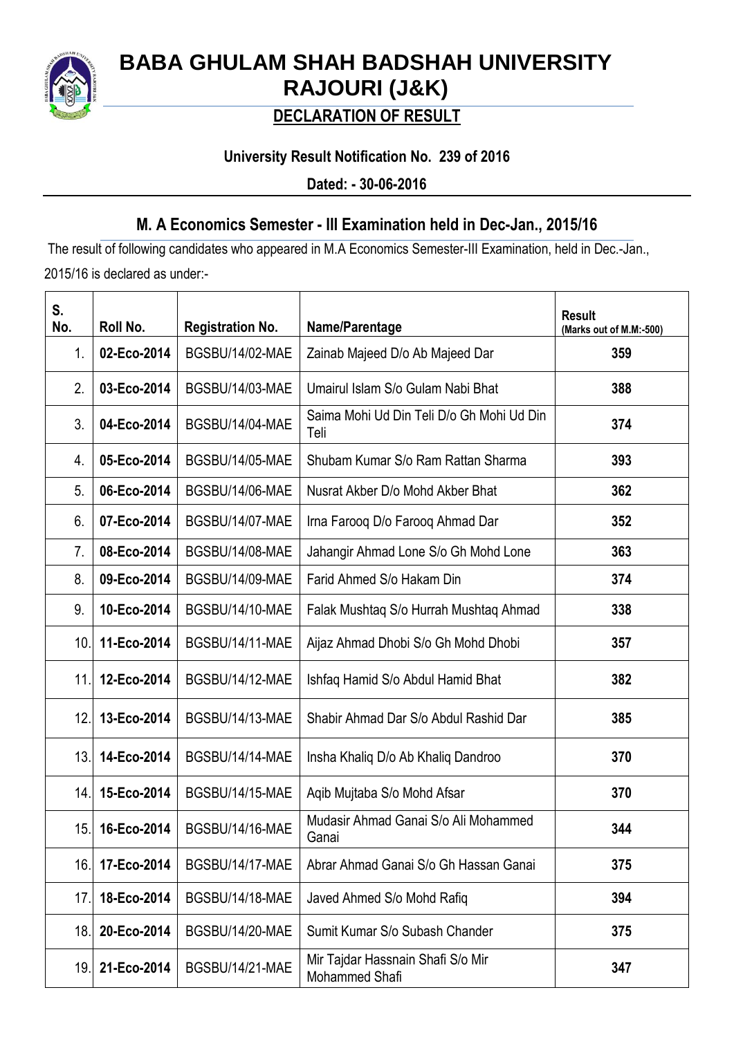

# **BABA GHULAM SHAH BADSHAH UNIVERSITY RAJOURI (J&K)**

## **DECLARATION OF RESULT**

### **University Result Notification No. 239 of 2016**

**Dated: - 30-06-2016**

### **M. A Economics Semester - III Examination held in Dec-Jan., 2015/16**

The result of following candidates who appeared in M.A Economics Semester-III Examination, held in Dec.-Jan., 2015/16 is declared as under:-

| S.<br>No. | Roll No.    | <b>Registration No.</b> | Name/Parentage                                      | <b>Result</b><br>(Marks out of M.M:-500) |
|-----------|-------------|-------------------------|-----------------------------------------------------|------------------------------------------|
| 1.        | 02-Eco-2014 | BGSBU/14/02-MAE         | Zainab Majeed D/o Ab Majeed Dar                     | 359                                      |
| 2.        | 03-Eco-2014 | BGSBU/14/03-MAE         | Umairul Islam S/o Gulam Nabi Bhat                   | 388                                      |
| 3.        | 04-Eco-2014 | BGSBU/14/04-MAE         | Saima Mohi Ud Din Teli D/o Gh Mohi Ud Din<br>Teli   | 374                                      |
| 4.        | 05-Eco-2014 | <b>BGSBU/14/05-MAE</b>  | Shubam Kumar S/o Ram Rattan Sharma                  | 393                                      |
| 5.        | 06-Eco-2014 | BGSBU/14/06-MAE         | Nusrat Akber D/o Mohd Akber Bhat                    | 362                                      |
| 6.        | 07-Eco-2014 | BGSBU/14/07-MAE         | Irna Farooq D/o Farooq Ahmad Dar                    | 352                                      |
| 7.        | 08-Eco-2014 | BGSBU/14/08-MAE         | Jahangir Ahmad Lone S/o Gh Mohd Lone                | 363                                      |
| 8.        | 09-Eco-2014 | BGSBU/14/09-MAE         | Farid Ahmed S/o Hakam Din                           | 374                                      |
| 9.        | 10-Eco-2014 | BGSBU/14/10-MAE         | Falak Mushtaq S/o Hurrah Mushtaq Ahmad              | 338                                      |
| 10.       | 11-Eco-2014 | BGSBU/14/11-MAE         | Aijaz Ahmad Dhobi S/o Gh Mohd Dhobi                 | 357                                      |
| 11.       | 12-Eco-2014 | BGSBU/14/12-MAE         | Ishfaq Hamid S/o Abdul Hamid Bhat                   | 382                                      |
| 12.       | 13-Eco-2014 | BGSBU/14/13-MAE         | Shabir Ahmad Dar S/o Abdul Rashid Dar               | 385                                      |
| 13.       | 14-Eco-2014 | BGSBU/14/14-MAE         | Insha Khaliq D/o Ab Khaliq Dandroo                  | 370                                      |
| 14.       | 15-Eco-2014 | BGSBU/14/15-MAE         | Aqib Mujtaba S/o Mohd Afsar                         | 370                                      |
| 15.       | 16-Eco-2014 | BGSBU/14/16-MAE         | Mudasir Ahmad Ganai S/o Ali Mohammed<br>Ganai       | 344                                      |
| 16.       | 17-Eco-2014 | BGSBU/14/17-MAE         | Abrar Ahmad Ganai S/o Gh Hassan Ganai               | 375                                      |
| 17.       | 18-Eco-2014 | BGSBU/14/18-MAE         | Javed Ahmed S/o Mohd Rafiq                          | 394                                      |
| 18.       | 20-Eco-2014 | BGSBU/14/20-MAE         | Sumit Kumar S/o Subash Chander                      | 375                                      |
| 19.       | 21-Eco-2014 | BGSBU/14/21-MAE         | Mir Tajdar Hassnain Shafi S/o Mir<br>Mohammed Shafi | 347                                      |